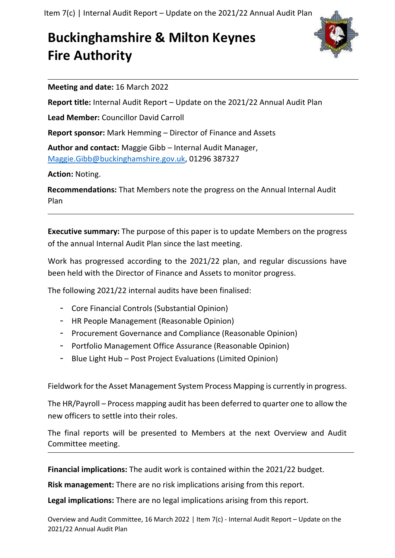Item 7(c) | Internal Audit Report – Update on the 2021/22 Annual Audit Plan

## **Buckinghamshire & Milton Keynes Fire Authority**



**Meeting and date:** 16 March 2022

**Report title:** Internal Audit Report – Update on the 2021/22 Annual Audit Plan

**Lead Member:** Councillor David Carroll

**Report sponsor:** Mark Hemming – Director of Finance and Assets

**Author and contact:** Maggie Gibb – Internal Audit Manager, [Maggie.Gibb@buckinghamshire.gov.uk,](mailto:Maggie.Gibb@buckinghamshire.gov.uk) 01296 387327

**Action:** Noting.

**Recommendations:** That Members note the progress on the Annual Internal Audit Plan

**Executive summary:** The purpose of this paper is to update Members on the progress of the annual Internal Audit Plan since the last meeting.

Work has progressed according to the 2021/22 plan, and regular discussions have been held with the Director of Finance and Assets to monitor progress.

The following 2021/22 internal audits have been finalised:

- Core Financial Controls (Substantial Opinion)
- HR People Management (Reasonable Opinion)
- Procurement Governance and Compliance (Reasonable Opinion)
- Portfolio Management Office Assurance (Reasonable Opinion)
- Blue Light Hub Post Project Evaluations (Limited Opinion)

Fieldwork for the Asset Management System Process Mapping is currently in progress.

The HR/Payroll – Process mapping audit has been deferred to quarter one to allow the new officers to settle into their roles.

The final reports will be presented to Members at the next Overview and Audit Committee meeting.

**Financial implications:** The audit work is contained within the 2021/22 budget.

**Risk management:** There are no risk implications arising from this report.

**Legal implications:** There are no legal implications arising from this report.

Overview and Audit Committee, 16 March 2022 | Item 7(c) - Internal Audit Report – Update on the 2021/22 Annual Audit Plan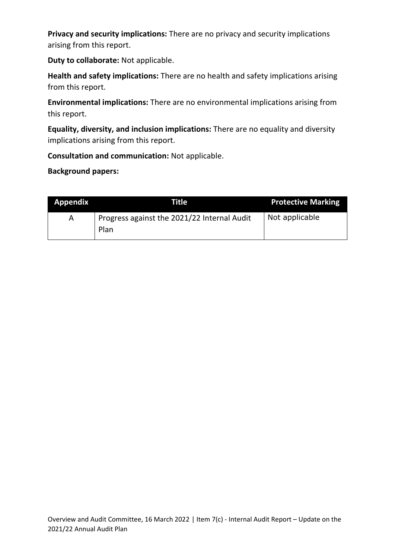**Privacy and security implications:** There are no privacy and security implications arising from this report.

**Duty to collaborate:** Not applicable.

**Health and safety implications:** There are no health and safety implications arising from this report.

**Environmental implications:** There are no environmental implications arising from this report.

**Equality, diversity, and inclusion implications:** There are no equality and diversity implications arising from this report.

**Consultation and communication:** Not applicable.

**Background papers:**

| <b>Appendix</b> | Title                                               | <b>Protective Marking</b> |
|-----------------|-----------------------------------------------------|---------------------------|
| A               | Progress against the 2021/22 Internal Audit<br>Plan | Not applicable            |